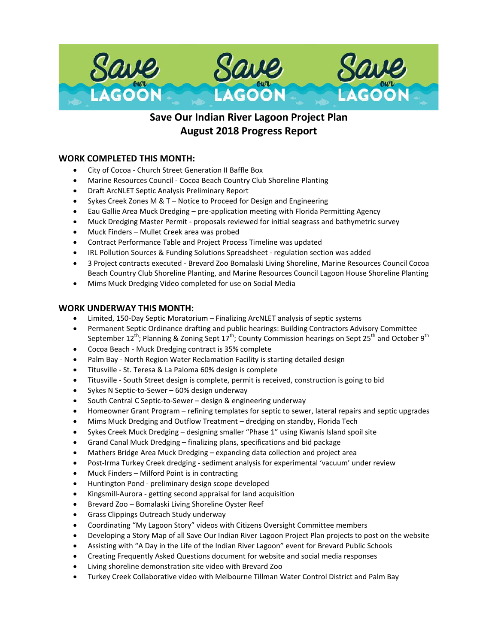

# **Save Our Indian River Lagoon Project Plan August 2018 Progress Report**

## **WORK COMPLETED THIS MONTH:**

- City of Cocoa Church Street Generation II Baffle Box
- Marine Resources Council Cocoa Beach Country Club Shoreline Planting
- Draft ArcNLET Septic Analysis Preliminary Report
- Sykes Creek Zones M & T Notice to Proceed for Design and Engineering
- Eau Gallie Area Muck Dredging pre-application meeting with Florida Permitting Agency
- Muck Dredging Master Permit proposals reviewed for initial seagrass and bathymetric survey
- Muck Finders Mullet Creek area was probed
- Contract Performance Table and Project Process Timeline was updated
- IRL Pollution Sources & Funding Solutions Spreadsheet regulation section was added
- 3 Project contracts executed Brevard Zoo Bomalaski Living Shoreline, Marine Resources Council Cocoa Beach Country Club Shoreline Planting, and Marine Resources Council Lagoon House Shoreline Planting
- Mims Muck Dredging Video completed for use on Social Media

#### **WORK UNDERWAY THIS MONTH:**

- Limited, 150-Day Septic Moratorium Finalizing ArcNLET analysis of septic systems
- Permanent Septic Ordinance drafting and public hearings: Building Contractors Advisory Committee September 12<sup>th</sup>; Planning & Zoning Sept 17<sup>th</sup>; County Commission hearings on Sept 25<sup>th</sup> and October 9<sup>th</sup>
- Cocoa Beach Muck Dredging contract is 35% complete
- Palm Bay North Region Water Reclamation Facility is starting detailed design
- Titusville St. Teresa & La Paloma 60% design is complete
- Titusville South Street design is complete, permit is received, construction is going to bid
- Sykes N Septic-to-Sewer 60% design underway
- South Central C Septic-to-Sewer design & engineering underway
- Homeowner Grant Program refining templates for septic to sewer, lateral repairs and septic upgrades
- Mims Muck Dredging and Outflow Treatment dredging on standby, Florida Tech
- Sykes Creek Muck Dredging designing smaller "Phase 1" using Kiwanis Island spoil site
- Grand Canal Muck Dredging finalizing plans, specifications and bid package
- Mathers Bridge Area Muck Dredging expanding data collection and project area
- Post-Irma Turkey Creek dredging sediment analysis for experimental 'vacuum' under review
- Muck Finders Milford Point is in contracting
- Huntington Pond preliminary design scope developed
- Kingsmill-Aurora getting second appraisal for land acquisition
- Brevard Zoo Bomalaski Living Shoreline Oyster Reef
- Grass Clippings Outreach Study underway
- Coordinating "My Lagoon Story" videos with Citizens Oversight Committee members
- Developing a Story Map of all Save Our Indian River Lagoon Project Plan projects to post on the website
- Assisting with "A Day in the Life of the Indian River Lagoon" event for Brevard Public Schools
- Creating Frequently Asked Questions document for website and social media responses
- Living shoreline demonstration site video with Brevard Zoo
- Turkey Creek Collaborative video with Melbourne Tillman Water Control District and Palm Bay